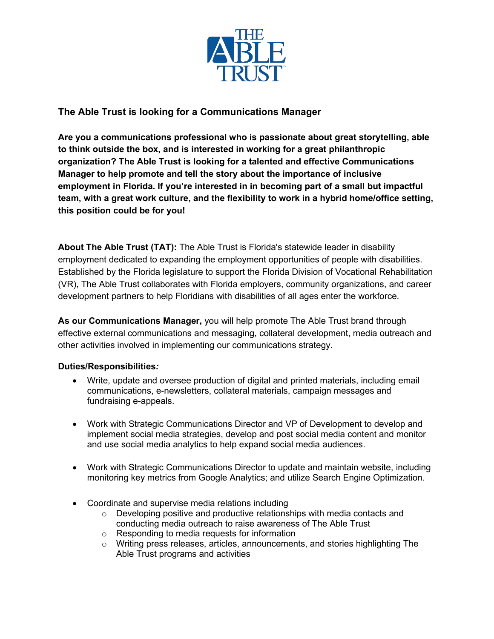

# **The Able Trust is looking for a Communications Manager**

**Are you a communications professional who is passionate about great storytelling, able to think outside the box, and is interested in working for a great philanthropic organization? The Able Trust is looking for a talented and effective Communications Manager to help promote and tell the story about the importance of inclusive employment in Florida. If you're interested in in becoming part of a small but impactful team, with a great work culture, and the flexibility to work in a hybrid home/office setting, this position could be for you!**

**About The Able Trust (TAT):** The Able Trust is Florida's statewide leader in disability employment dedicated to expanding the employment opportunities of people with disabilities. Established by the Florida legislature to support the Florida Division of Vocational Rehabilitation (VR), The Able Trust collaborates with Florida employers, community organizations, and career development partners to help Floridians with disabilities of all ages enter the workforce.

**As our Communications Manager,** you will help promote The Able Trust brand through effective external communications and messaging, collateral development, media outreach and other activities involved in implementing our communications strategy.

## **Duties/Responsibilities***:*

- Write, update and oversee production of digital and printed materials, including email communications, e-newsletters, collateral materials, campaign messages and fundraising e-appeals.
- Work with Strategic Communications Director and VP of Development to develop and implement social media strategies, develop and post social media content and monitor and use social media analytics to help expand social media audiences.
- Work with Strategic Communications Director to update and maintain website, including monitoring key metrics from Google Analytics; and utilize Search Engine Optimization.
- Coordinate and supervise media relations including
	- $\circ$  Developing positive and productive relationships with media contacts and conducting media outreach to raise awareness of The Able Trust
	- o Responding to media requests for information
	- $\circ$  Writing press releases, articles, announcements, and stories highlighting The Able Trust programs and activities